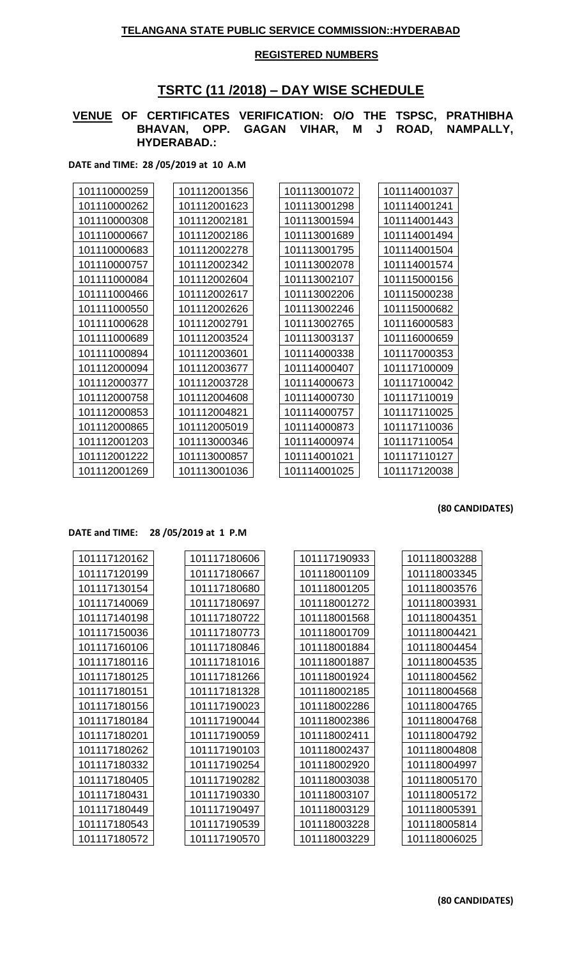### **REGISTERED NUMBERS**

# **TSRTC (11 /2018) – DAY WISE SCHEDULE**

#### **VENUE OF CERTIFICATES VERIFICATION: O/O THE TSPSC, PRATHIBHA BHAVAN, OPP. GAGAN VIHAR, M J ROAD, NAMPALLY, HYDERABAD.:**

**DATE and TIME: 28 /05/2019 at 10 A.M**

| 101110000259 | 101112001356 | 101113001072 | 101114001037 |
|--------------|--------------|--------------|--------------|
| 101110000262 | 101112001623 | 101113001298 | 101114001241 |
| 101110000308 | 101112002181 | 101113001594 | 101114001443 |
| 101110000667 | 101112002186 | 101113001689 | 101114001494 |
| 101110000683 | 101112002278 | 101113001795 | 101114001504 |
| 101110000757 | 101112002342 | 101113002078 | 101114001574 |
| 101111000084 | 101112002604 | 101113002107 | 101115000156 |
| 101111000466 | 101112002617 | 101113002206 | 101115000238 |
| 101111000550 | 101112002626 | 101113002246 | 101115000682 |
| 101111000628 | 101112002791 | 101113002765 | 101116000583 |
| 101111000689 | 101112003524 | 101113003137 | 101116000659 |
| 101111000894 | 101112003601 | 101114000338 | 101117000353 |
| 101112000094 | 101112003677 | 101114000407 | 101117100009 |
| 101112000377 | 101112003728 | 101114000673 | 101117100042 |
| 101112000758 | 101112004608 | 101114000730 | 101117110019 |
| 101112000853 | 101112004821 | 101114000757 | 101117110025 |
| 101112000865 | 101112005019 | 101114000873 | 101117110036 |
| 101112001203 | 101113000346 | 101114000974 | 101117110054 |
| 101112001222 | 101113000857 | 101114001021 | 101117110127 |
| 101112001269 | 101113001036 | 101114001025 | 101117120038 |
|              |              |              |              |

**(80 CANDIDATES)**

#### **DATE and TIME: 28 /05/2019 at 1 P.M**

| 101117120162 | 101117180606 | 101117190933 | 101118003288 |
|--------------|--------------|--------------|--------------|
| 101117120199 | 101117180667 | 101118001109 | 101118003345 |
| 101117130154 | 101117180680 | 101118001205 | 101118003576 |
| 101117140069 | 101117180697 | 101118001272 | 101118003931 |
| 101117140198 | 101117180722 | 101118001568 | 101118004351 |
| 101117150036 | 101117180773 | 101118001709 | 101118004421 |
| 101117160106 | 101117180846 | 101118001884 | 101118004454 |
| 101117180116 | 101117181016 | 101118001887 | 101118004535 |
| 101117180125 | 101117181266 | 101118001924 | 101118004562 |
| 101117180151 | 101117181328 | 101118002185 | 101118004568 |
| 101117180156 | 101117190023 | 101118002286 | 101118004765 |
| 101117180184 | 101117190044 | 101118002386 | 101118004768 |
| 101117180201 | 101117190059 | 101118002411 | 101118004792 |
| 101117180262 | 101117190103 | 101118002437 | 101118004808 |
| 101117180332 | 101117190254 | 101118002920 | 101118004997 |
| 101117180405 | 101117190282 | 101118003038 | 101118005170 |
| 101117180431 | 101117190330 | 101118003107 | 101118005172 |
| 101117180449 | 101117190497 | 101118003129 | 101118005391 |
| 101117180543 | 101117190539 | 101118003228 | 101118005814 |
| 101117180572 | 101117190570 | 101118003229 | 101118006025 |